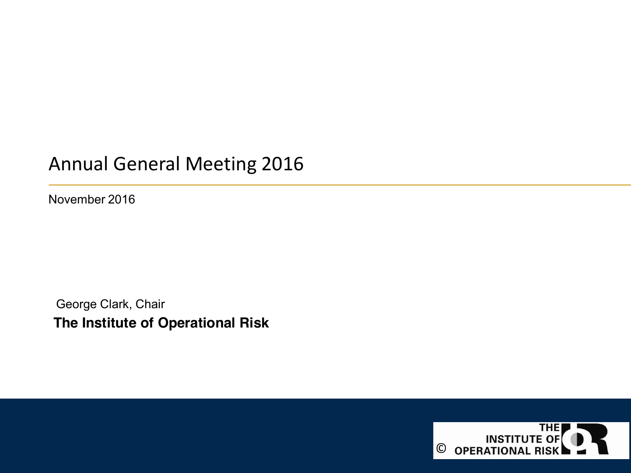## Annual General Meeting 2016

November 2016

**The Institute of Operational Risk** George Clark, Chair

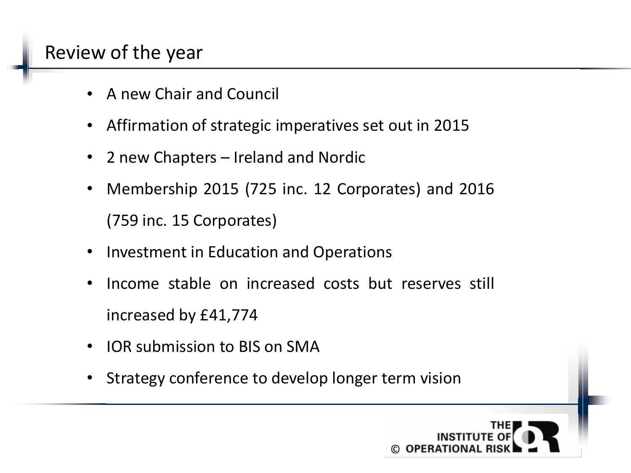# Review of the year

- A new Chair and Council
- Affirmation of strategic imperatives set out in 2015
- 2 new Chapters Ireland and Nordic
- Membership 2015 (725 inc. 12 Corporates) and 2016 (759 inc. 15 Corporates)
- Investment in Education and Operations
- Income stable on increased costs but reserves still increased by £41,774
- IOR submission to BIS on SMA
- Strategy conference to develop longer term vision

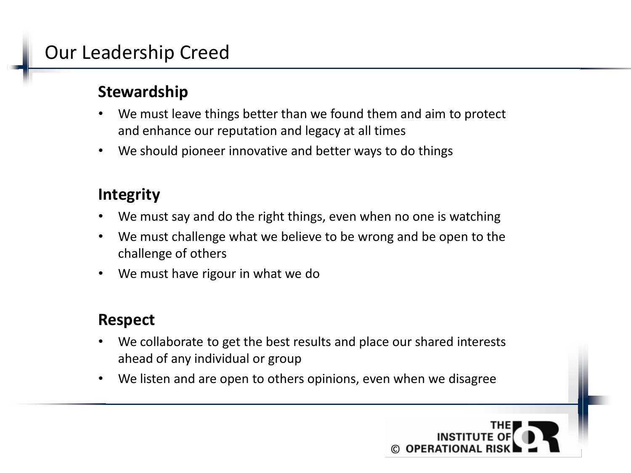# Our Leadership Creed

#### **Stewardship**

- We must leave things better than we found them and aim to protect and enhance our reputation and legacy at all times
- We should pioneer innovative and better ways to do things

#### **Integrity**

- We must say and do the right things, even when no one is watching
- We must challenge what we believe to be wrong and be open to the challenge of others
- We must have rigour in what we do

#### **Respect**

- We collaborate to get the best results and place our shared interests ahead of any individual or group
- We listen and are open to others opinions, even when we disagree

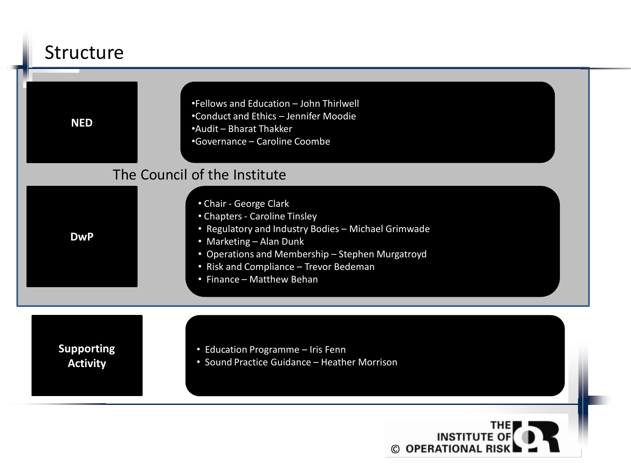# Structure

| <b>NED</b>                           | •Fellows and Education - John Thirlwell<br>•Conduct and Ethics - Jennifer Moodie<br>•Audit - Bharat Thakker<br>•Governance - Caroline Coombe                                                                                                                         |
|--------------------------------------|----------------------------------------------------------------------------------------------------------------------------------------------------------------------------------------------------------------------------------------------------------------------|
|                                      | The Council of the Institute                                                                                                                                                                                                                                         |
| <b>DwP</b>                           | • Chair - George Clark<br>• Chapters - Caroline Tinsley<br>• Regulatory and Industry Bodies - Michael Grimwade<br>• Marketing - Alan Dunk<br>• Operations and Membership - Stephen Murgatroyd<br>• Risk and Compliance - Trevor Bedeman<br>• Finance - Matthew Behan |
| <b>Supporting</b><br><b>Activity</b> | • Education Programme - Iris Fenn<br>• Sound Practice Guidance - Heather Morrison                                                                                                                                                                                    |
|                                      |                                                                                                                                                                                                                                                                      |

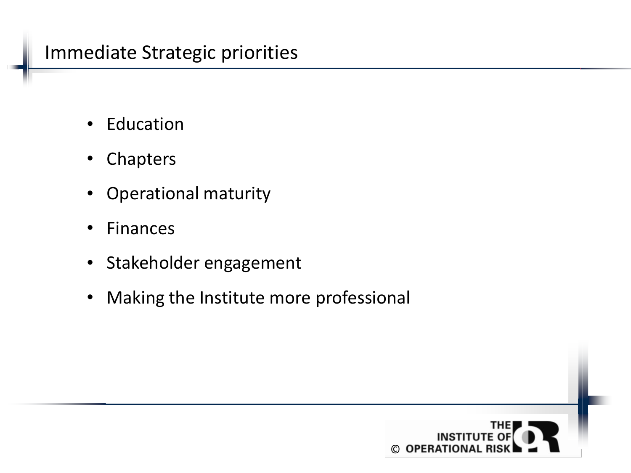### Immediate Strategic priorities

- Education
- Chapters
- Operational maturity
- Finances
- Stakeholder engagement
- Making the Institute more professional

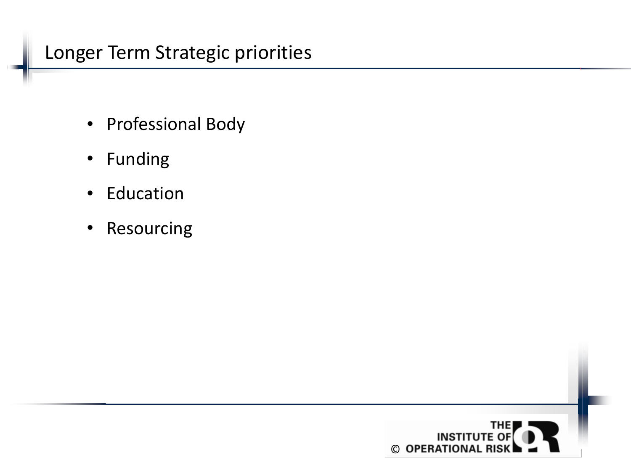# Longer Term Strategic priorities

- Professional Body
- Funding
- Education
- Resourcing

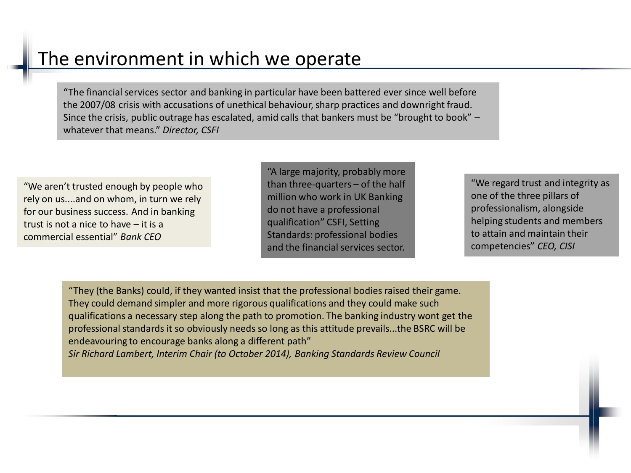# The environment in which we operate

"The financial services sector and banking in particular have been battered ever since well before the 2007/08 crisis with accusations of unethical behaviour, sharp practices and downright fraud. Since the crisis, public outrage has escalated, amid calls that bankers must be "brought to book" – whatever that means." *Director, CSFI*

"We aren't trusted enough by people who rely on us....and on whom, in turn we rely for our business success. And in banking trust is not a nice to have – it is a commercial essential" *Bank CEO*

"A large majority, probably more than three-quarters – of the half million who work in UK Banking do not have a professional qualification" CSFI, Setting Standards: professional bodies and the financial services sector.

"We regard trust and integrity as one of the three pillars of professionalism, alongside helping students and members to attain and maintain their competencies" *CEO, CISI*

"They (the Banks) could, if they wanted insist that the professional bodies raised their game. They could demand simpler and more rigorous qualifications and they could make such qualifications a necessary step along the path to promotion. The banking industry wont get the professional standards it so obviously needs so long as this attitude prevails...the BSRC will be endeavouring to encourage banks along a different path" *Sir Richard Lambert, Interim Chair (to October 2014), Banking Standards Review Council*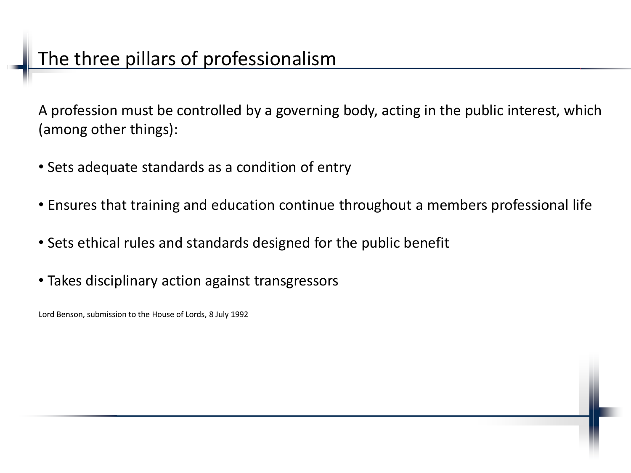A profession must be controlled by a governing body, acting in the public interest, which (among other things):

- Sets adequate standards as a condition of entry
- Ensures that training and education continue throughout a members professional life
- Sets ethical rules and standards designed for the public benefit
- Takes disciplinary action against transgressors

Lord Benson, submission to the House of Lords, 8 July 1992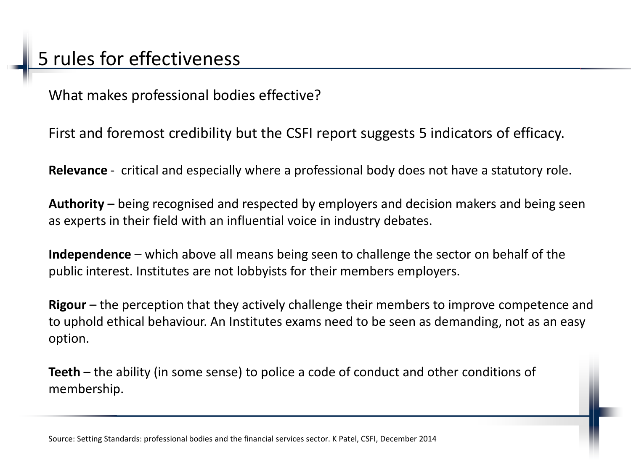What makes professional bodies effective?

First and foremost credibility but the CSFI report suggests 5 indicators of efficacy.

**Relevance** - critical and especially where a professional body does not have a statutory role.

**Authority** – being recognised and respected by employers and decision makers and being seen as experts in their field with an influential voice in industry debates.

**Independence** – which above all means being seen to challenge the sector on behalf of the public interest. Institutes are not lobbyists for their members employers.

**Rigour** – the perception that they actively challenge their members to improve competence and to uphold ethical behaviour. An Institutes exams need to be seen as demanding, not as an easy option.

**Teeth** – the ability (in some sense) to police a code of conduct and other conditions of membership.

Source: Setting Standards: professional bodies and the financial services sector. K Patel, CSFI, December 2014